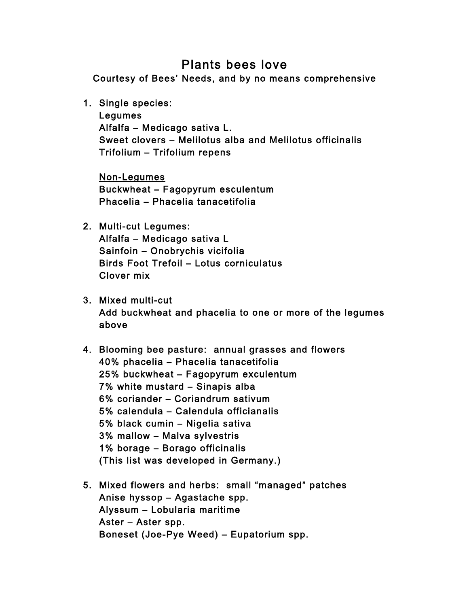## Plants bees love

Courtesy of Bees' Needs, and by no means comprehensive

1. Single species:

Legumes Alfalfa – Medicago sativa L. Sweet clovers – Melilotus alba and Melilotus officinalis Trifolium – Trifolium repens

Non-Legumes Buckwheat – Fagopyrum esculentum Phacelia – Phacelia tanacetifolia

- 2. Multi-cut Legumes: Alfalfa – Medicago sativa L Sainfoin – Onobrychis vicifolia Birds Foot Trefoil – Lotus corniculatus Clover mix
- 3. Mixed multi-cut Add buckwheat and phacelia to one or more of the legumes above
- 4. Blooming bee pasture: annual grasses and flowers 40% phacelia – Phacelia tanacetifolia 25% buckwheat – Fagopyrum exculentum 7% white mustard – Sinapis alba 6% coriander – Coriandrum sativum 5% calendula – Calendula officianalis 5% black cumin – Nigelia sativa 3% mallow – Malva sylvestris 1% borage – Borago officinalis (This list was developed in Germany.)
- 5. Mixed flowers and herbs: small "managed" patches Anise hyssop – Agastache spp. Alyssum – Lobularia maritime Aster – Aster spp. Boneset (Joe-Pye Weed) – Eupatorium spp.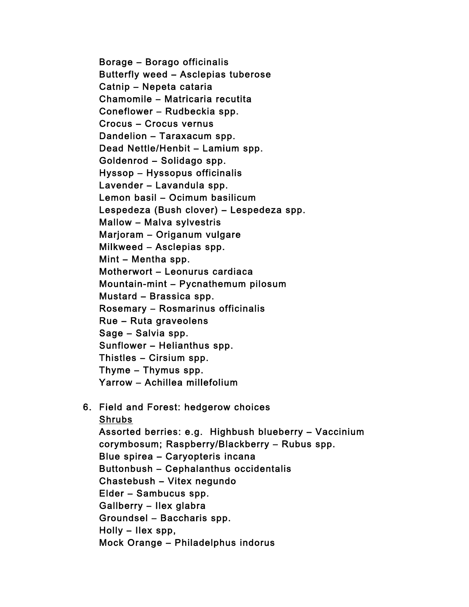Borage – Borago officinalis Butterfly weed – Asclepias tuberose Catnip – Nepeta cataria Chamomile – Matricaria recutita Coneflower – Rudbeckia spp. Crocus – Crocus vernus Dandelion – Taraxacum spp. Dead Nettle/Henbit – Lamium spp. Goldenrod – Solidago spp. Hyssop – Hyssopus officinalis Lavender – Lavandula spp. Lemon basil – Ocimum basilicum Lespedeza (Bush clover) – Lespedeza spp. Mallow – Malva sylvestris Marjoram – Origanum vulgare Milkweed – Asclepias spp. Mint – Mentha spp. Motherwort – Leonurus cardiaca Mountain-mint – Pycnathemum pilosum Mustard – Brassica spp. Rosemary – Rosmarinus officinalis Rue – Ruta graveolens Sage – Salvia spp. Sunflower – Helianthus spp. Thistles – Cirsium spp. Thyme – Thymus spp. Yarrow – Achillea millefolium

## 6. Field and Forest: hedgerow choices

Shrubs Assorted berries: e.g. Highbush blueberry – Vaccinium corymbosum; Raspberry/Blackberry – Rubus spp. Blue spirea – Caryopteris incana Buttonbush – Cephalanthus occidentalis Chastebush – Vitex negundo Elder – Sambucus spp. Gallberry – Ilex glabra Groundsel – Baccharis spp. Holly – Ilex spp, Mock Orange – Philadelphus indorus